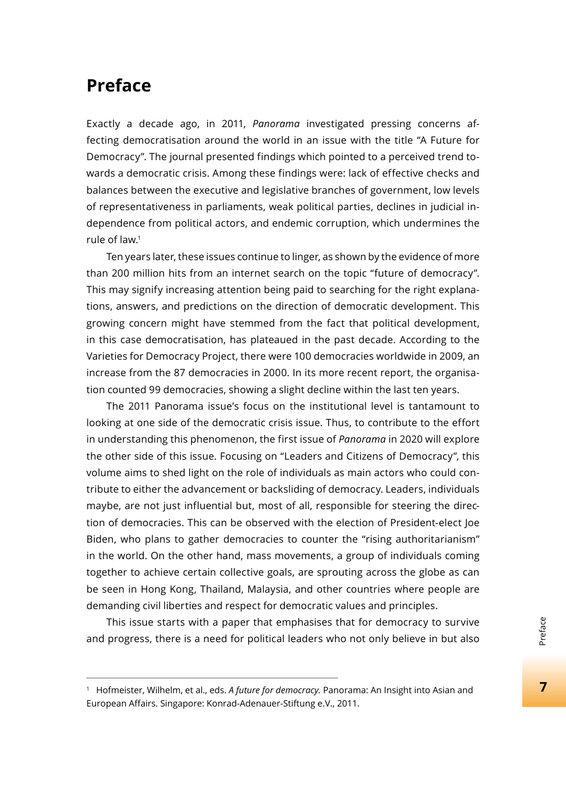## **Preface**

Exactly a decade ago, in 2011, *Panorama* investigated pressing concerns affecting democratisation around the world in an issue with the title "A Future for Democracy". The journal presented findings which pointed to a perceived trend towards a democratic crisis. Among these findings were: lack of effective checks and balances between the executive and legislative branches of government, low levels of representativeness in parliaments, weak political parties, declines in judicial independence from political actors, and endemic corruption, which undermines the rule of law.1

Ten years later, these issues continue to linger, as shown by the evidence of more than 200 million hits from an internet search on the topic "future of democracy". This may signify increasing attention being paid to searching for the right explanations, answers, and predictions on the direction of democratic development. This growing concern might have stemmed from the fact that political development, in this case democratisation, has plateaued in the past decade. According to the Varieties for Democracy Project, there were 100 democracies worldwide in 2009, an increase from the 87 democracies in 2000. In its more recent report, the organisation counted 99 democracies, showing a slight decline within the last ten years.

The 2011 Panorama issue's focus on the institutional level is tantamount to looking at one side of the democratic crisis issue. Thus, to contribute to the effort in understanding this phenomenon, the first issue of *Panorama* in 2020 will explore the other side of this issue. Focusing on "Leaders and Citizens of Democracy", this volume aims to shed light on the role of individuals as main actors who could contribute to either the advancement or backsliding of democracy. Leaders, individuals maybe, are not just influential but, most of all, responsible for steering the direction of democracies. This can be observed with the election of President-elect Joe Biden, who plans to gather democracies to counter the "rising authoritarianism" in the world. On the other hand, mass movements, a group of individuals coming together to achieve certain collective goals, are sprouting across the globe as can be seen in Hong Kong, Thailand, Malaysia, and other countries where people are demanding civil liberties and respect for democratic values and principles.

This issue starts with a paper that emphasises that for democracy to survive and progress, there is a need for political leaders who not only believe in but also

 $\overline{7}$ 

<sup>1</sup> Hofmeister, Wilhelm, et al., eds. *A future for democracy.* Panorama: An Insight into Asian and European Affairs. Singapore: Konrad-Adenauer-Stiftung e.V., 2011.